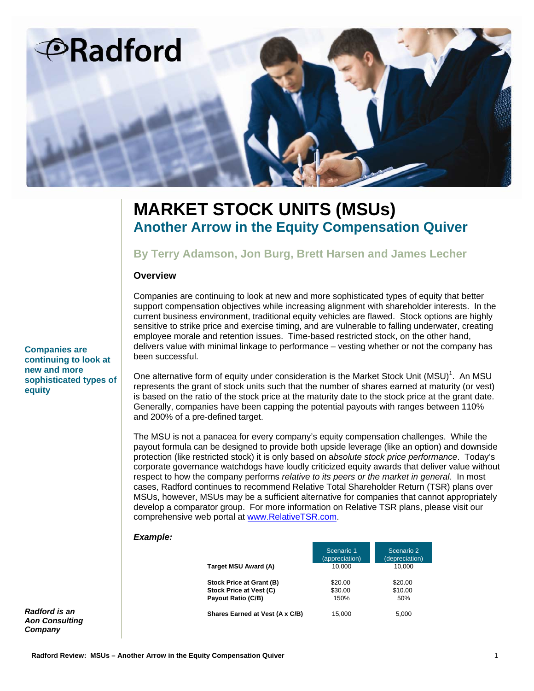

# **MARKET STOCK UNITS (MSUs) Another Arrow in the Equity Compensation Quiver**

# **By Terry Adamson, Jon Burg, Brett Harsen and James Lecher**

### **Overview**

Companies are continuing to look at new and more sophisticated types of equity that better support compensation objectives while increasing alignment with shareholder interests. In the current business environment, traditional equity vehicles are flawed. Stock options are highly sensitive to strike price and exercise timing, and are vulnerable to falling underwater, creating employee morale and retention issues. Time-based restricted stock, on the other hand, delivers value with minimal linkage to performance – vesting whether or not the company has been successful.

One alternative form of equity under consideration is the Market Stock Unit  $(MSU)^{1}$ . An MSU represents the grant of stock units such that the number of shares earned at maturity (or vest) is based on the ratio of the stock price at the maturity date to the stock price at the grant date. Generally, companies have been capping the potential payouts with ranges between 110% and 200% of a pre-defined target.

The MSU is not a panacea for every company's equity compensation challenges. While the payout formula can be designed to provide both upside leverage (like an option) and downside protection (like restricted stock) it is only based on a*bsolute stock price performance*. Today's corporate governance watchdogs have loudly criticized equity awards that deliver value without respect to how the company performs *relative to its peers or the market in general*. In most cases, Radford continues to recommend Relative Total Shareholder Return (TSR) plans over MSUs, however, MSUs may be a sufficient alternative for companies that cannot appropriately develop a comparator group. For more information on Relative TSR plans, please visit our comprehensive web portal at www.RelativeTSR.com.

#### *Example:*

|                                 | Scenario 1<br>(appreciation) | Scenario 2<br>(depreciation) |
|---------------------------------|------------------------------|------------------------------|
| Target MSU Award (A)            | 10.000                       | 10.000                       |
| Stock Price at Grant (B)        | \$20.00                      | \$20.00                      |
| Stock Price at Vest (C)         | \$30.00                      | \$10.00                      |
| Payout Ratio (C/B)              | 150%                         | 50%                          |
| Shares Earned at Vest (A x C/B) | 15.000                       | 5,000                        |

*Radford is an Aon Consulting Company*

**Companies are continuing to look at new and more sophisticated types of equity**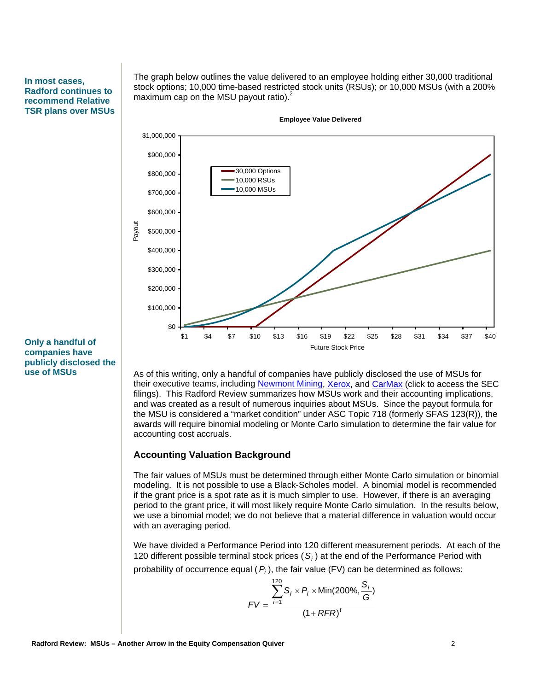#### **In most cases, Radford continues to recommend Relative TSR plans over MSUs**

The graph below outlines the value delivered to an employee holding either 30,000 traditional stock options; 10,000 time-based restricted stock units (RSUs); or 10,000 MSUs (with a 200% maximum cap on the MSU payout ratio).<sup>2</sup>

**Employee Value Delivered**



**Only a handful of companies have publicly disclosed the use of MSUs** 

As of this writing, only a handful of companies have publicly disclosed the use of MSUs for their executive teams, including Newmont Mining, Xerox, and CarMax (click to access the SEC filings). This Radford Review summarizes how MSUs work and their accounting implications, and was created as a result of numerous inquiries about MSUs. Since the payout formula for the MSU is considered a "market condition" under ASC Topic 718 (formerly SFAS 123(R)), the awards will require binomial modeling or Monte Carlo simulation to determine the fair value for accounting cost accruals.

#### **Accounting Valuation Background**

The fair values of MSUs must be determined through either Monte Carlo simulation or binomial modeling. It is not possible to use a Black-Scholes model. A binomial model is recommended if the grant price is a spot rate as it is much simpler to use. However, if there is an averaging period to the grant price, it will most likely require Monte Carlo simulation. In the results below, we use a binomial model; we do not believe that a material difference in valuation would occur with an averaging period.

We have divided a Performance Period into 120 different measurement periods. At each of the 120 different possible terminal stock prices  $(S_i)$  at the end of the Performance Period with probability of occurrence equal (*Pi* ), the fair value (FV) can be determined as follows:

$$
FV = \frac{\sum_{i=1}^{120} S_i \times P_i \times \text{Min}(200\%, \frac{S_i}{G})}{(1 + RFR)^t}
$$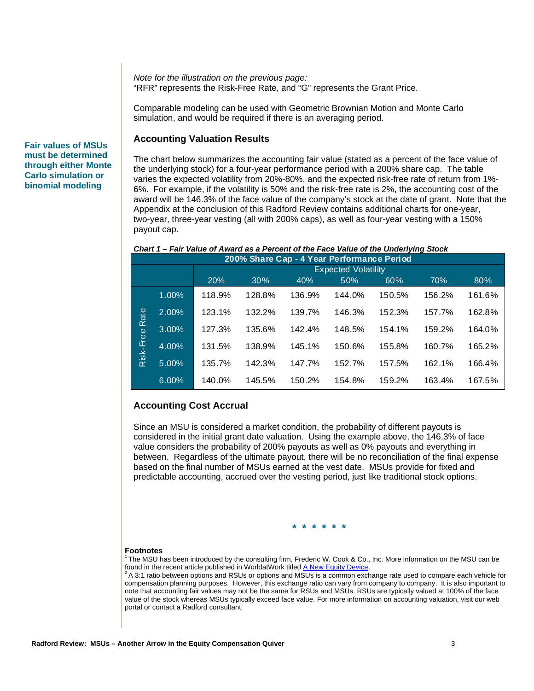*Note for the illustration on the previous page:*  "RFR" represents the Risk-Free Rate, and "G" represents the Grant Price.

Comparable modeling can be used with Geometric Brownian Motion and Monte Carlo simulation, and would be required if there is an averaging period.

# **Accounting Valuation Results**

The chart below summarizes the accounting fair value (stated as a percent of the face value of the underlying stock) for a four-year performance period with a 200% share cap. The table varies the expected volatility from 20%-80%, and the expected risk-free rate of return from 1%- 6%. For example, if the volatility is 50% and the risk-free rate is 2%, the accounting cost of the award will be 146.3% of the face value of the company's stock at the date of grant. Note that the Appendix at the conclusion of this Radford Review contains additional charts for one-year, two-year, three-year vesting (all with 200% caps), as well as four-year vesting with a 150% payout cap.

#### *Chart 1 – Fair Value of Award as a Percent of the Face Value of the Underlying Stock*

|                | 200% Share Cap - 4 Year Performance Period |                            |        |        |        |        |        |        |  |  |
|----------------|--------------------------------------------|----------------------------|--------|--------|--------|--------|--------|--------|--|--|
|                |                                            | <b>Expected Volatility</b> |        |        |        |        |        |        |  |  |
|                |                                            | 20%                        | 30%    | 40%    | 50%    | 60%    | 70%    | 80%    |  |  |
| Risk-Free Rate | 1.00%                                      | 118.9%                     | 128.8% | 136.9% | 144.0% | 150.5% | 156.2% | 161.6% |  |  |
|                | 2.00%                                      | 123.1%                     | 132.2% | 139.7% | 146.3% | 152.3% | 157.7% | 162.8% |  |  |
|                | 3.00%                                      | 127.3%                     | 135.6% | 142.4% | 148.5% | 154.1% | 159.2% | 164.0% |  |  |
|                | 4.00%                                      | 131.5%                     | 138.9% | 145.1% | 150.6% | 155.8% | 160.7% | 165.2% |  |  |
|                | 5.00%                                      | 135.7%                     | 142.3% | 147.7% | 152.7% | 157.5% | 162.1% | 166.4% |  |  |
|                | 6.00%                                      | 140.0%                     | 145.5% | 150.2% | 154.8% | 159.2% | 163.4% | 167.5% |  |  |

#### **Accounting Cost Accrual**

Since an MSU is considered a market condition, the probability of different payouts is considered in the initial grant date valuation. Using the example above, the 146.3% of face value considers the probability of 200% payouts as well as 0% payouts and everything in between. Regardless of the ultimate payout, there will be no reconciliation of the final expense based on the final number of MSUs earned at the vest date. MSUs provide for fixed and predictable accounting, accrued over the vesting period, just like traditional stock options.

**\* \* \* \* \* \*** 

#### **Footnotes**

<sup>1</sup> The MSU has been introduced by the consulting firm, Frederic W. Cook & Co., Inc. More information on the MSU can be found in the recent article published in WorldatWork titled A New Equity Device.

 $^2$ A 3:1 ratio between options and RSUs or options and MSUs is a common exchange rate used to compare each vehicle for compensation planning purposes. However, this exchange ratio can vary from company to company. It is also important to note that accounting fair values may not be the same for RSUs and MSUs. RSUs are typically valued at 100% of the face value of the stock whereas MSUs typically exceed face value. For more information on accounting valuation, visit our web portal or contact a Radford consultant.

#### **Fair values of MSUs must be determined through either Monte Carlo simulation or binomial modeling**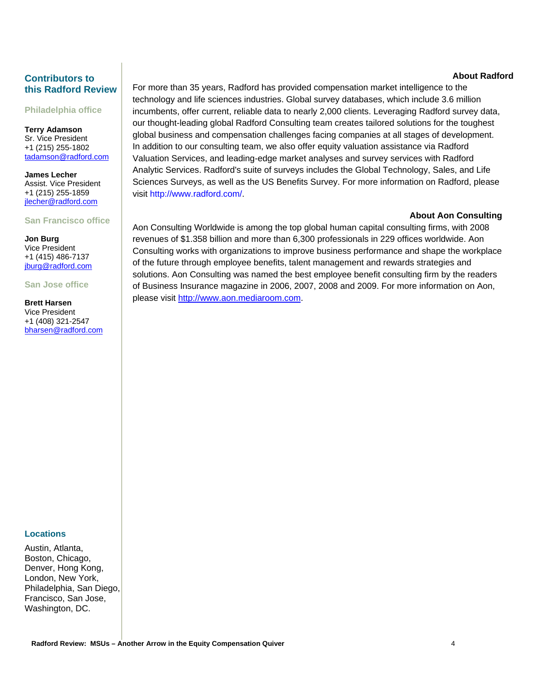# **Contributors to this Radford Review**

**Philadelphia office** 

**Terry Adamson** Sr. Vice President +1 (215) 255-1802 tadamson@radford.com

**James Lecher** Assist. Vice President +1 (215) 255-1859 jlecher@radford.com

# **San Francisco office**

**Jon Burg** Vice President +1 (415) 486-7137 jburg@radford.com

**San Jose office** 

**Brett Harsen**  Vice President +1 (408) 321-2547 bharsen@radford.com **About Radford**

For more than 35 years, Radford has provided compensation market intelligence to the technology and life sciences industries. Global survey databases, which include 3.6 million incumbents, offer current, reliable data to nearly 2,000 clients. Leveraging Radford survey data, our thought-leading global Radford Consulting team creates tailored solutions for the toughest global business and compensation challenges facing companies at all stages of development. In addition to our consulting team, we also offer equity valuation assistance via Radford Valuation Services, and leading-edge market analyses and survey services with Radford Analytic Services. Radford's suite of surveys includes the Global Technology, Sales, and Life Sciences Surveys, as well as the US Benefits Survey. For more information on Radford, please visit http://www.radford.com/.

# **About Aon Consulting**

Aon Consulting Worldwide is among the top global human capital consulting firms, with 2008 revenues of \$1.358 billion and more than 6,300 professionals in 229 offices worldwide. Aon Consulting works with organizations to improve business performance and shape the workplace of the future through employee benefits, talent management and rewards strategies and solutions. Aon Consulting was named the best employee benefit consulting firm by the readers of Business Insurance magazine in 2006, 2007, 2008 and 2009. For more information on Aon, please visit http://www.aon.mediaroom.com.

### **Locations**

Austin, Atlanta, Boston, Chicago, Denver, Hong Kong, London, New York, Philadelphia, San Diego, Francisco, San Jose, Washington, DC.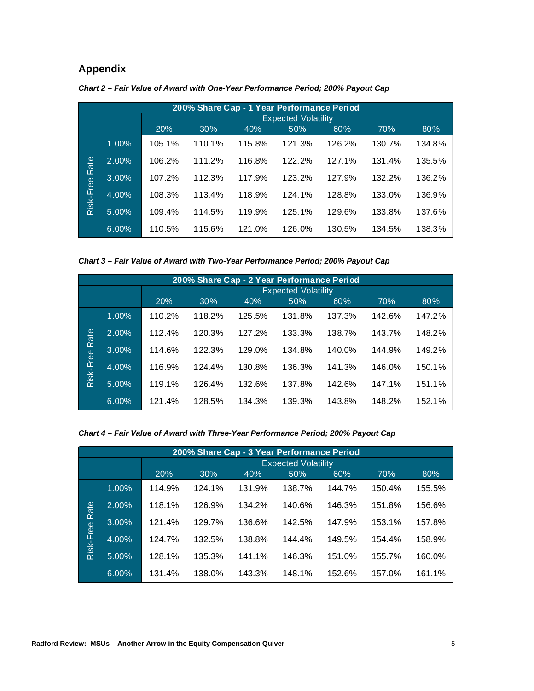# **Appendix**

|                |       |                            | 200% Share Cap - 1 Year Performance Period |        |        |        |        |        |  |  |
|----------------|-------|----------------------------|--------------------------------------------|--------|--------|--------|--------|--------|--|--|
|                |       | <b>Expected Volatility</b> |                                            |        |        |        |        |        |  |  |
|                |       | 20%                        | 30%                                        | 40%    | 50%    | 60%    | 70%    | 80%    |  |  |
|                | 1.00% | 105.1%                     | 110.1%                                     | 115.8% | 121.3% | 126.2% | 130.7% | 134.8% |  |  |
| Risk-Free Rate | 2.00% | 106.2%                     | 111.2%                                     | 116.8% | 122.2% | 127.1% | 131.4% | 135.5% |  |  |
|                | 3.00% | 107.2%                     | 112.3%                                     | 117.9% | 123.2% | 127.9% | 132.2% | 136.2% |  |  |
|                | 4.00% | 108.3%                     | 113.4%                                     | 118.9% | 124.1% | 128.8% | 133.0% | 136.9% |  |  |
|                | 5.00% | 109.4%                     | 114.5%                                     | 119.9% | 125.1% | 129.6% | 133.8% | 137.6% |  |  |
|                | 6.00% | 110.5%                     | 115.6%                                     | 121.0% | 126.0% | 130.5% | 134.5% | 138.3% |  |  |

| Chart 2 – Fair Value of Award with One-Year Performance Period: 200% Payout Cap |
|---------------------------------------------------------------------------------|
|---------------------------------------------------------------------------------|

*Chart 3 – Fair Value of Award with Two-Year Performance Period; 200% Payout Cap* 

|                | 200% Share Cap - 2 Year Performance Period |        |                            |        |        |        |        |        |  |  |
|----------------|--------------------------------------------|--------|----------------------------|--------|--------|--------|--------|--------|--|--|
|                |                                            |        | <b>Expected Volatility</b> |        |        |        |        |        |  |  |
|                |                                            | 20%    | 30%                        | 40%    | 50%    | 60%    | 70%    | 80%    |  |  |
|                | 1.00%                                      | 110.2% | 118.2%                     | 125.5% | 131.8% | 137.3% | 142.6% | 147.2% |  |  |
| Risk-Free Rate | 2.00%                                      | 112.4% | 120.3%                     | 127.2% | 133.3% | 138.7% | 143.7% | 148.2% |  |  |
|                | 3.00%                                      | 114.6% | 122.3%                     | 129.0% | 134.8% | 140.0% | 144.9% | 149.2% |  |  |
|                | 4.00%                                      | 116.9% | 124.4%                     | 130.8% | 136.3% | 141.3% | 146.0% | 150.1% |  |  |
|                | 5.00%                                      | 119.1% | 126.4%                     | 132.6% | 137.8% | 142.6% | 147.1% | 151.1% |  |  |
|                | 6.00%                                      | 121.4% | 128.5%                     | 134.3% | 139.3% | 143.8% | 148.2% | 152.1% |  |  |

*Chart 4 – Fair Value of Award with Three-Year Performance Period; 200% Payout Cap* 

|                |       |        | 200% Share Cap - 3 Year Performance Period |        |        |        |        |        |  |  |
|----------------|-------|--------|--------------------------------------------|--------|--------|--------|--------|--------|--|--|
|                |       |        | <b>Expected Volatility</b>                 |        |        |        |        |        |  |  |
|                |       | 20%    | 30%                                        | 40%    | 50%    | 60%    | 70%    | 80%    |  |  |
|                | 1.00% | 114.9% | 124.1%                                     | 131.9% | 138.7% | 144.7% | 150.4% | 155.5% |  |  |
| Risk-Free Rate | 2.00% | 118.1% | 126.9%                                     | 134.2% | 140.6% | 146.3% | 151.8% | 156.6% |  |  |
|                | 3.00% | 121.4% | 129.7%                                     | 136.6% | 142.5% | 147.9% | 153.1% | 157.8% |  |  |
|                | 4.00% | 124.7% | 132.5%                                     | 138.8% | 144.4% | 149.5% | 154.4% | 158.9% |  |  |
|                | 5.00% | 128.1% | 135.3%                                     | 141.1% | 146.3% | 151.0% | 155.7% | 160.0% |  |  |
|                | 6.00% | 131.4% | 138.0%                                     | 143.3% | 148.1% | 152.6% | 157.0% | 161.1% |  |  |